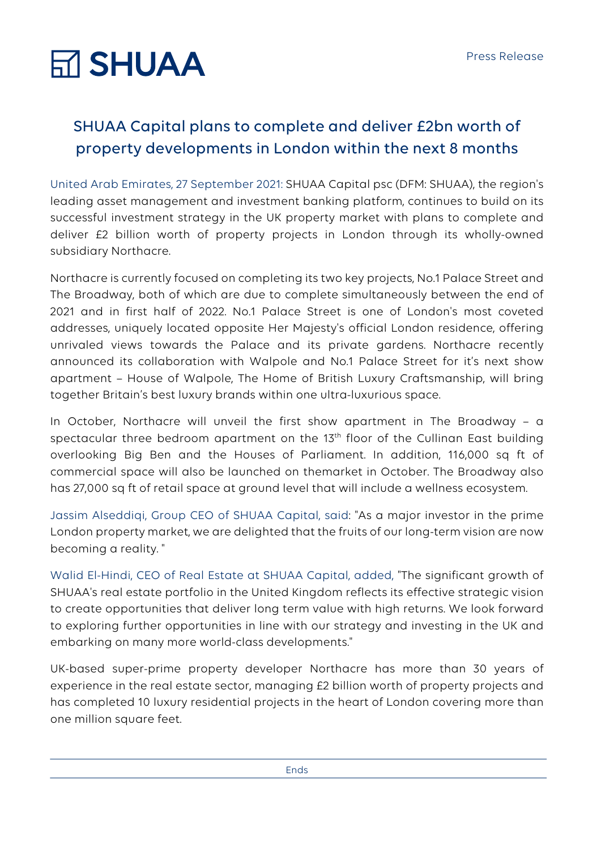# **RT SHUAA**

### SHUAA Capital plans to complete and deliver £2bn worth of property developments in London within the next 8 months

United Arab Emirates, 27 September 2021: SHUAA Capital psc (DFM: SHUAA), the region's leading asset management and investment banking platform, continues to build on its successful investment strategy in the UK property market with plans to complete and deliver £2 billion worth of property projects in London through its wholly-owned subsidiary Northacre.

Northacre is currently focused on completing its two key projects, No.1 Palace Street and The Broadway, both of which are due to complete simultaneously between the end of 2021 and in first half of 2022. No.1 Palace Street is one of London's most coveted addresses, uniquely located opposite Her Majesty's official London residence, offering unrivaled views towards the Palace and its private gardens. Northacre recently announced its collaboration with Walpole and No.1 Palace Street for it's next show apartment – House of Walpole, The Home of British Luxury Craftsmanship, will bring together Britain's best luxury brands within one ultra-luxurious space.

In October, Northacre will unveil the first show apartment in The Broadway – a spectacular three bedroom apartment on the 13<sup>th</sup> floor of the Cullinan East building overlooking Big Ben and the Houses of Parliament. In addition, 116,000 sq ft of commercial space will also be launched on themarket in October. The Broadway also has 27,000 sq ft of retail space at ground level that will include a wellness ecosystem.

Jassim Alseddiqi, Group CEO of SHUAA Capital, said: "As a major investor in the prime London property market, we are delighted that the fruits of our long-term vision are now becoming a reality. "

Walid El-Hindi, CEO of Real Estate at SHUAA Capital, added, "The significant growth of SHUAA's real estate portfolio in the United Kingdom reflects its effective strategic vision to create opportunities that deliver long term value with high returns. We look forward to exploring further opportunities in line with our strategy and investing in the UK and embarking on many more world-class developments."

UK-based super-prime property developer Northacre has more than 30 years of experience in the real estate sector, managing £2 billion worth of property projects and has completed 10 luxury residential projects in the heart of London covering more than one million square feet.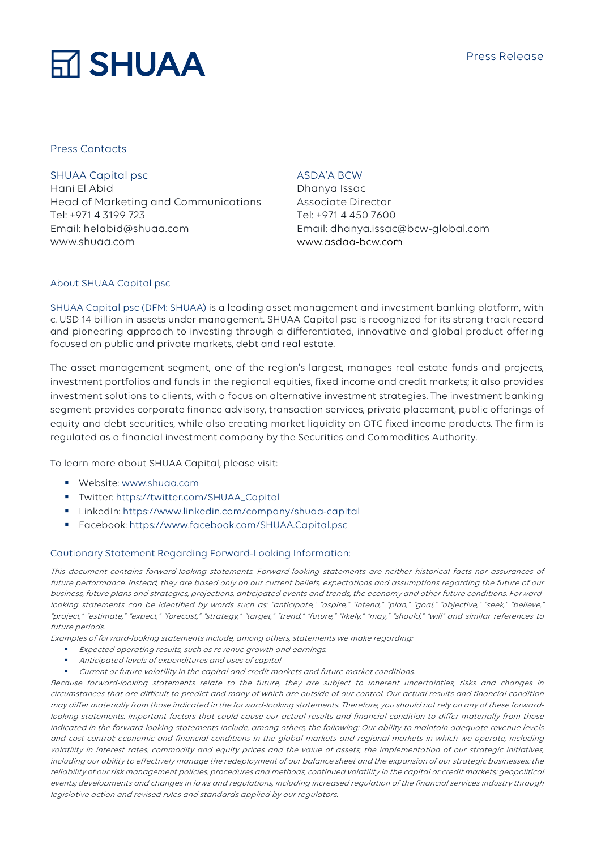## **RT SHUAA**

#### Press Contacts

SHUAA Capital psc Hani El Abid Head of Marketing and Communications Tel: +971 4 3199 723 Email: helabid@shuaa.com www.shuaa.com

#### ASDA'A BCW

Dhanya Issac Associate Director Tel: +971 4 450 7600 Email: dhanya.issac@bcw-global.com www.asdaa-bcw.com

#### About SHUAA Capital psc

SHUAA Capital psc (DFM: SHUAA) is a leading asset management and investment banking platform, with c. USD 14 billion in assets under management. SHUAA Capital psc is recognized for its strong track record and pioneering approach to investing through a differentiated, innovative and global product offering focused on public and private markets, debt and real estate.

The asset management segment, one of the region's largest, manages real estate funds and projects, investment portfolios and funds in the regional equities, fixed income and credit markets; it also provides investment solutions to clients, with a focus on alternative investment strategies. The investment banking segment provides corporate finance advisory, transaction services, private placement, public offerings of equity and debt securities, while also creating market liquidity on OTC fixed income products. The firm is regulated as a financial investment company by the Securities and Commodities Authority.

To learn more about SHUAA Capital, please visit:

- Website: www.shuaa.com
- § Twitter: https://twitter.com/SHUAA\_Capital
- § LinkedIn: https://www.linkedin.com/company/shuaa-capital
- § Facebook: https://www.facebook.com/SHUAA.Capital.psc

#### Cautionary Statement Regarding Forward-Looking Information:

This document contains forward-looking statements. Forward-looking statements are neither historical facts nor assurances of future performance. Instead, they are based only on our current beliefs, expectations and assumptions regarding the future of our business, future plans and strategies, projections, anticipated events and trends, the economy and other future conditions. Forwardlooking statements can be identified by words such as: "anticipate," "aspire," "intend," "plan," "goal," "objective," "seek," "believe," "project," "estimate," "expect," "forecast," "strategy," "target," "trend," "future," "likely," "may," "should," "will" and similar references to future periods.

Examples of forward-looking statements include, among others, statements we make regarding:

- Expected operating results, such as revenue growth and earnings.
- § Anticipated levels of expenditures and uses of capital
- § Current or future volatility in the capital and credit markets and future market conditions.

Because forward-looking statements relate to the future, they are subject to inherent uncertainties, risks and changes in circumstances that are difficult to predict and many of which are outside of our control. Our actual results and financial condition may differ materially from those indicated in the forward-looking statements. Therefore, you should not rely on any of these forwardlooking statements. Important factors that could cause our actual results and financial condition to differ materially from those indicated in the forward-looking statements include, among others, the following: Our ability to maintain adequate revenue levels and cost control; economic and financial conditions in the global markets and regional markets in which we operate, including volatility in interest rates, commodity and equity prices and the value of assets; the implementation of our strategic initiatives, including our ability to effectively manage the redeployment of our balance sheet and the expansion of our strategic businesses; the reliability of our risk management policies, procedures and methods; continued volatility in the capital or credit markets; geopolitical events; developments and changes in laws and regulations, including increased regulation of the financial services industry through legislative action and revised rules and standards applied by our regulators.